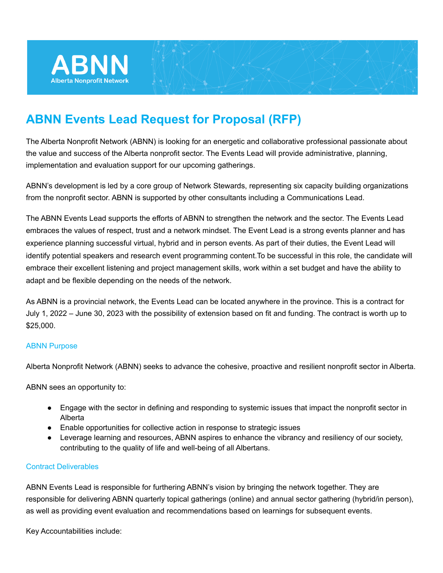

# **ABNN Events Lead Request for Proposal (RFP)**

The Alberta Nonprofit Network (ABNN) is looking for an energetic and collaborative professional passionate about the value and success of the Alberta nonprofit sector. The Events Lead will provide administrative, planning, implementation and evaluation support for our upcoming gatherings.

ABNN's development is led by a core group of Network Stewards, representing six capacity building organizations from the nonprofit sector. ABNN is supported by other consultants including a Communications Lead.

The ABNN Events Lead supports the efforts of ABNN to strengthen the network and the sector. The Events Lead embraces the values of respect, trust and a network mindset. The Event Lead is a strong events planner and has experience planning successful virtual, hybrid and in person events. As part of their duties, the Event Lead will identify potential speakers and research event programming content.To be successful in this role, the candidate will embrace their excellent listening and project management skills, work within a set budget and have the ability to adapt and be flexible depending on the needs of the network.

As ABNN is a provincial network, the Events Lead can be located anywhere in the province. This is a contract for July 1, 2022 – June 30, 2023 with the possibility of extension based on fit and funding. The contract is worth up to \$25,000.

#### ABNN Purpose

Alberta Nonprofit Network (ABNN) seeks to advance the cohesive, proactive and resilient nonprofit sector in Alberta.

ABNN sees an opportunity to:

- Engage with the sector in defining and responding to systemic issues that impact the nonprofit sector in Alberta
- Enable opportunities for collective action in response to strategic issues
- Leverage learning and resources, ABNN aspires to enhance the vibrancy and resiliency of our society, contributing to the quality of life and well-being of all Albertans.

### Contract Deliverables

ABNN Events Lead is responsible for furthering ABNN's vision by bringing the network together. They are responsible for delivering ABNN quarterly topical gatherings (online) and annual sector gathering (hybrid/in person), as well as providing event evaluation and recommendations based on learnings for subsequent events.

Key Accountabilities include: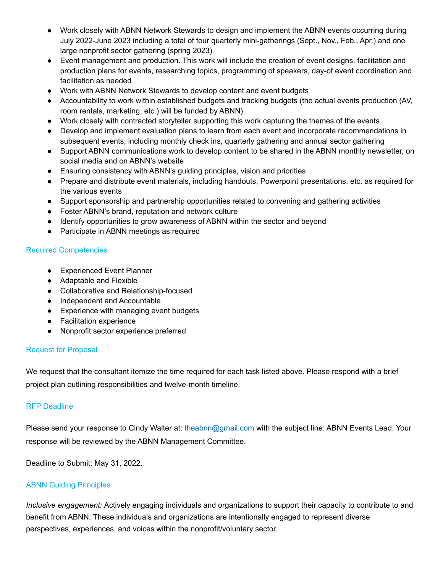- Work closely with ABNN Network Stewards to design and implement the ABNN events occurring during July 2022-June 2023 including a total of four quarterly mini-gatherings (Sept., Nov., Feb., Apr.) and one large nonprofit sector gathering (spring 2023)
- Event management and production. This work will include the creation of event designs, facilitation and production plans for events, researching topics, programming of speakers, day-of event coordination and facilitation as needed
- Work with ABNN Network Stewards to develop content and event budgets
- Accountability to work within established budgets and tracking budgets (the actual events production (AV, room rentals, marketing, etc.) will be funded by ABNN)
- Work closely with contracted storyteller supporting this work capturing the themes of the events
- Develop and implement evaluation plans to learn from each event and incorporate recommendations in subsequent events, including monthly check ins, quarterly gathering and annual sector gathering
- Support ABNN communications work to develop content to be shared in the ABNN monthly newsletter, on social media and on ABNN's website
- Ensuring consistency with ABNN's guiding principles, vision and priorities
- Prepare and distribute event materials, including handouts, Powerpoint presentations, etc. as required for the various events
- Support sponsorship and partnership opportunities related to convening and gathering activities
- Foster ABNN's brand, reputation and network culture
- Identify opportunities to grow awareness of ABNN within the sector and beyond
- Participate in ABNN meetings as required

## Required Competencies

- Experienced Event Planner
- Adaptable and Flexible
- Collaborative and Relationship-focused
- Independent and Accountable
- Experience with managing event budgets
- Facilitation experience
- Nonprofit sector experience preferred

## Request for Proposal

We request that the consultant itemize the time required for each task listed above. Please respond with a brief project plan outlining responsibilities and twelve-month timeline.

## RFP Deadline

Please send your response to Cindy Walter at: theabnn@gmail.com with the subject line: ABNN Events Lead. Your response will be reviewed by the ABNN Management Committee.

Deadline to Submit: May 31, 2022.

## ABNN Guiding Principles

*Inclusive engagement:* Actively engaging individuals and organizations to support their capacity to contribute to and benefit from ABNN. These individuals and organizations are intentionally engaged to represent diverse perspectives, experiences, and voices within the nonprofit/voluntary sector.